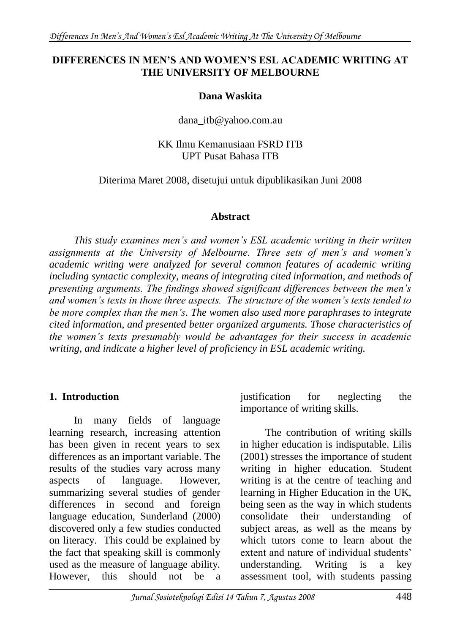### **DIFFERENCES IN MEN'S AND WOMEN'S ESL ACADEMIC WRITING AT THE UNIVERSITY OF MELBOURNE**

### **Dana Waskita**

dana\_itb@yahoo.com.au

### KK Ilmu Kemanusiaan FSRD ITB UPT Pusat Bahasa ITB

Diterima Maret 2008, disetujui untuk dipublikasikan Juni 2008

#### **Abstract**

*This study examines men's and women's ESL academic writing in their written assignments at the University of Melbourne. Three sets of men's and women's academic writing were analyzed for several common features of academic writing including syntactic complexity, means of integrating cited information, and methods of presenting arguments. The findings showed significant differences between the men's and women's texts in those three aspects. The structure of the women's texts tended to be more complex than the men's. The women also used more paraphrases to integrate cited information, and presented better organized arguments. Those characteristics of the women's texts presumably would be advantages for their success in academic writing, and indicate a higher level of proficiency in ESL academic writing.* 

### **1. Introduction**

In many fields of language learning research, increasing attention has been given in recent years to sex differences as an important variable. The results of the studies vary across many aspects of language. However, summarizing several studies of gender differences in second and foreign language education, Sunderland (2000) discovered only a few studies conducted on literacy. This could be explained by the fact that speaking skill is commonly used as the measure of language ability. However, this should not be

justification for neglecting the importance of writing skills.

The contribution of writing skills in higher education is indisputable. Lilis (2001) stresses the importance of student writing in higher education. Student writing is at the centre of teaching and learning in Higher Education in the UK, being seen as the way in which students consolidate their understanding of subject areas, as well as the means by which tutors come to learn about the extent and nature of individual students' understanding. Writing is a key assessment tool, with students passing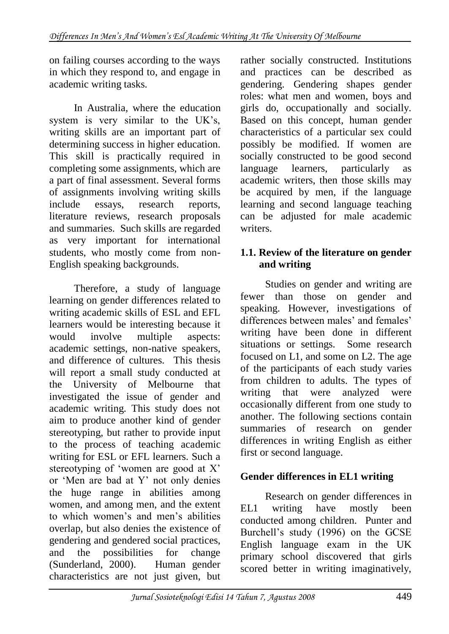on failing courses according to the ways in which they respond to, and engage in academic writing tasks.

In Australia, where the education system is very similar to the UK's, writing skills are an important part of determining success in higher education. This skill is practically required in completing some assignments, which are a part of final assessment. Several forms of assignments involving writing skills include essays, research reports, literature reviews, research proposals and summaries. Such skills are regarded as very important for international students, who mostly come from non-English speaking backgrounds.

Therefore, a study of language learning on gender differences related to writing academic skills of ESL and EFL learners would be interesting because it would involve multiple aspects: academic settings, non-native speakers, and difference of cultures. This thesis will report a small study conducted at the University of Melbourne that investigated the issue of gender and academic writing. This study does not aim to produce another kind of gender stereotyping, but rather to provide input to the process of teaching academic writing for ESL or EFL learners. Such a stereotyping of 'women are good at  $X'$ or 'Men are bad at Y' not only denies the huge range in abilities among women, and among men, and the extent to which women's and men's abilities overlap, but also denies the existence of gendering and gendered social practices, and the possibilities for change (Sunderland, 2000). Human gender characteristics are not just given, but rather socially constructed. Institutions and practices can be described as gendering. Gendering shapes gender roles: what men and women, boys and girls do, occupationally and socially. Based on this concept, human gender characteristics of a particular sex could possibly be modified. If women are socially constructed to be good second language learners, particularly as academic writers, then those skills may be acquired by men, if the language learning and second language teaching can be adjusted for male academic writers.

### **1.1. Review of the literature on gender and writing**

Studies on gender and writing are fewer than those on gender and speaking. However, investigations of differences between males' and females' writing have been done in different situations or settings. Some research focused on L1, and some on L2. The age of the participants of each study varies from children to adults. The types of writing that were analyzed were occasionally different from one study to another. The following sections contain summaries of research on gender differences in writing English as either first or second language.

# **Gender differences in EL1 writing**

Research on gender differences in EL1 writing have mostly been conducted among children. Punter and Burchell's study (1996) on the GCSE English language exam in the UK primary school discovered that girls scored better in writing imaginatively,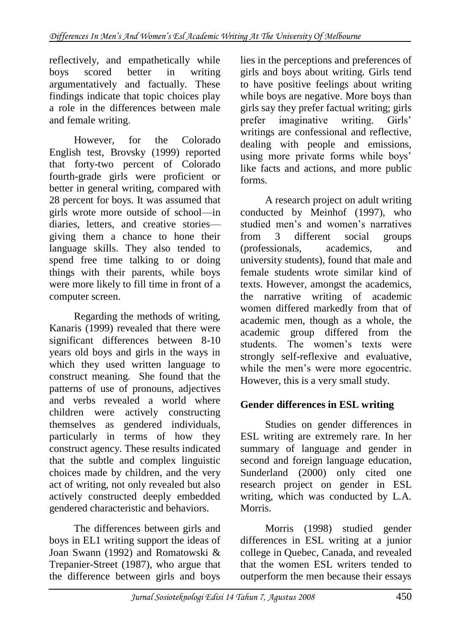reflectively, and empathetically while boys scored better in writing argumentatively and factually. These findings indicate that topic choices play a role in the differences between male and female writing.

However, for the Colorado English test, Brovsky (1999) reported that forty-two percent of Colorado fourth-grade girls were proficient or better in general writing, compared with 28 percent for boys. It was assumed that girls wrote more outside of school—in diaries, letters, and creative stories giving them a chance to hone their language skills. They also tended to spend free time talking to or doing things with their parents, while boys were more likely to fill time in front of a computer screen.

Regarding the methods of writing, Kanaris (1999) revealed that there were significant differences between 8-10 years old boys and girls in the ways in which they used written language to construct meaning. She found that the patterns of use of pronouns, adjectives and verbs revealed a world where children were actively constructing themselves as gendered individuals, particularly in terms of how they construct agency. These results indicated that the subtle and complex linguistic choices made by children, and the very act of writing, not only revealed but also actively constructed deeply embedded gendered characteristic and behaviors.

The differences between girls and boys in EL1 writing support the ideas of Joan Swann (1992) and Romatowski & Trepanier-Street (1987), who argue that the difference between girls and boys

lies in the perceptions and preferences of girls and boys about writing. Girls tend to have positive feelings about writing while boys are negative. More boys than girls say they prefer factual writing; girls prefer imaginative writing. Girls' writings are confessional and reflective, dealing with people and emissions, using more private forms while boys' like facts and actions, and more public forms.

A research project on adult writing conducted by Meinhof (1997), who studied men's and women's narratives from 3 different social groups (professionals, academics, and university students), found that male and female students wrote similar kind of texts. However, amongst the academics, the narrative writing of academic women differed markedly from that of academic men, though as a whole, the academic group differed from the students. The women's texts were strongly self-reflexive and evaluative, while the men's were more egocentric. However, this is a very small study.

## **Gender differences in ESL writing**

Studies on gender differences in ESL writing are extremely rare. In her summary of language and gender in second and foreign language education, Sunderland (2000) only cited one research project on gender in ESL writing, which was conducted by L.A. Morris.

Morris (1998) studied gender differences in ESL writing at a junior college in Quebec, Canada, and revealed that the women ESL writers tended to outperform the men because their essays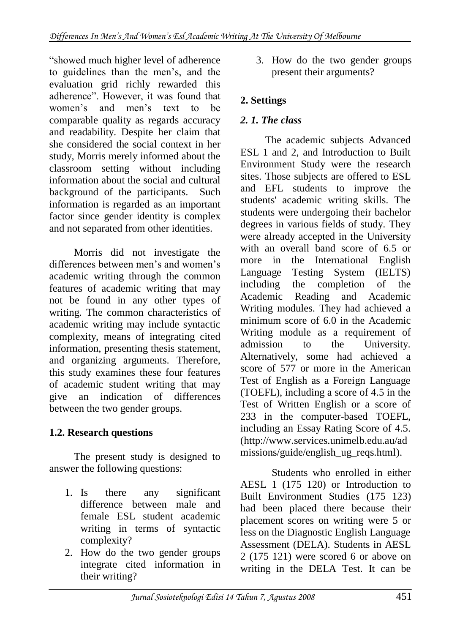―showed much higher level of adherence to guidelines than the men's, and the evaluation grid richly rewarded this adherence". However, it was found that women's and men's text to be comparable quality as regards accuracy and readability. Despite her claim that she considered the social context in her study, Morris merely informed about the classroom setting without including information about the social and cultural background of the participants. Such information is regarded as an important factor since gender identity is complex and not separated from other identities.

Morris did not investigate the differences between men's and women's academic writing through the common features of academic writing that may not be found in any other types of writing. The common characteristics of academic writing may include syntactic complexity, means of integrating cited information, presenting thesis statement, and organizing arguments. Therefore, this study examines these four features of academic student writing that may give an indication of differences between the two gender groups.

# **1.2. Research questions**

The present study is designed to answer the following questions:

- 1. Is there any significant difference between male and female ESL student academic writing in terms of syntactic complexity?
- 2. How do the two gender groups integrate cited information in their writing?

3. How do the two gender groups present their arguments?

## **2. Settings**

## *2. 1. The class*

The academic subjects Advanced ESL 1 and 2, and Introduction to Built Environment Study were the research sites. Those subjects are offered to ESL and EFL students to improve the students' academic writing skills. The students were undergoing their bachelor degrees in various fields of study. They were already accepted in the University with an overall band score of 6.5 or more in the International English Language Testing System (IELTS) including the completion of the Academic Reading and Academic Writing modules. They had achieved a minimum score of 6.0 in the Academic Writing module as a requirement of admission to the University. Alternatively, some had achieved a score of 577 or more in the American Test of English as a Foreign Language (TOEFL), including a score of 4.5 in the Test of Written English or a score of 233 in the computer-based TOEFL, including an Essay Rating Score of 4.5. [\(http://www.services.unimelb.edu.au/ad](http://www.services.unimelb.edu.au/admissions/guide/english_ug_reqs.html) [missions/guide/english\\_ug\\_reqs.html\)](http://www.services.unimelb.edu.au/admissions/guide/english_ug_reqs.html).

Students who enrolled in either AESL 1 (175 120) or Introduction to Built Environment Studies (175 123) had been placed there because their placement scores on writing were 5 or less on the Diagnostic English Language Assessment (DELA). Students in AESL 2 (175 121) were scored 6 or above on writing in the DELA Test. It can be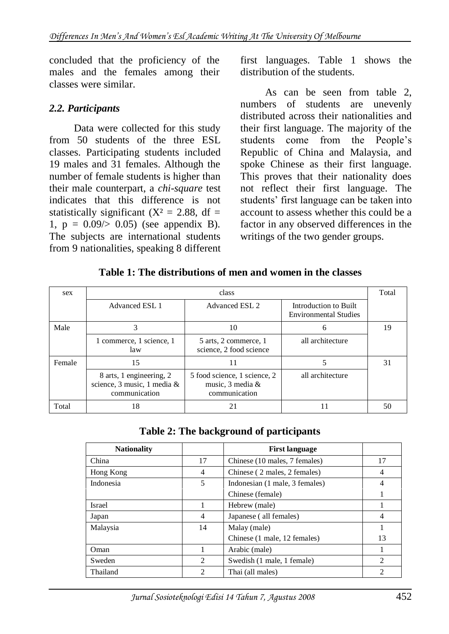concluded that the proficiency of the males and the females among their classes were similar.

### *2.2. Participants*

Data were collected for this study from 50 students of the three ESL classes. Participating students included 19 males and 31 females. Although the number of female students is higher than their male counterpart, a *chi-square* test indicates that this difference is not statistically significant ( $X^2 = 2.88$ , df = 1,  $p = 0.09 \ge 0.05$  (see appendix B). The subjects are international students from 9 nationalities, speaking 8 different first languages. Table 1 shows the distribution of the students.

As can be seen from table 2, numbers of students are unevenly distributed across their nationalities and their first language. The majority of the students come from the People's Republic of China and Malaysia, and spoke Chinese as their first language. This proves that their nationality does not reflect their first language. The students' first language can be taken into account to assess whether this could be a factor in any observed differences in the writings of the two gender groups.

#### **Table 1: The distributions of men and women in the classes**

| sex    | class                                                                    |                                                                        |                                                       |       |  |
|--------|--------------------------------------------------------------------------|------------------------------------------------------------------------|-------------------------------------------------------|-------|--|
|        | <b>Advanced ESL 1</b>                                                    | Advanced ESL 2                                                         | Introduction to Built<br><b>Environmental Studies</b> | Total |  |
| Male   |                                                                          | 10                                                                     | 6                                                     | 19    |  |
|        | 1 commerce, 1 science, 1<br>law                                          | 5 arts, 2 commerce, 1<br>science, 2 food science                       | all architecture                                      |       |  |
| Female | 15                                                                       | 11                                                                     |                                                       | 31    |  |
|        | 8 arts, 1 engineering, 2<br>science, 3 music, 1 media &<br>communication | 5 food science, 1 science, 2<br>music, $3$ media $\&$<br>communication | all architecture                                      |       |  |
| Total  | 18                                                                       | 21                                                                     |                                                       | 50    |  |

|  |  | Table 2: The background of participants |
|--|--|-----------------------------------------|
|--|--|-----------------------------------------|

| <b>Nationality</b> |                               | <b>First language</b>          |                |
|--------------------|-------------------------------|--------------------------------|----------------|
| China              | 17                            | Chinese (10 males, 7 females)  | 17             |
| Hong Kong          | $\overline{4}$                | Chinese (2 males, 2 females)   | 4              |
| Indonesia          | 5                             | Indonesian (1 male, 3 females) | 4              |
|                    |                               | Chinese (female)               |                |
| <b>Israel</b>      |                               | Hebrew (male)                  |                |
| Japan              | 4                             | Japanese (all females)         | 4              |
| Malaysia           | 14                            | Malay (male)                   |                |
|                    |                               | Chinese (1 male, 12 females)   | 13             |
| Oman               |                               | Arabic (male)                  |                |
| Sweden             | $\mathfrak{D}_{\mathfrak{p}}$ | Swedish (1 male, 1 female)     | 2              |
| Thailand           | $\mathcal{D}_{\mathcal{A}}$   | Thai (all males)               | $\overline{2}$ |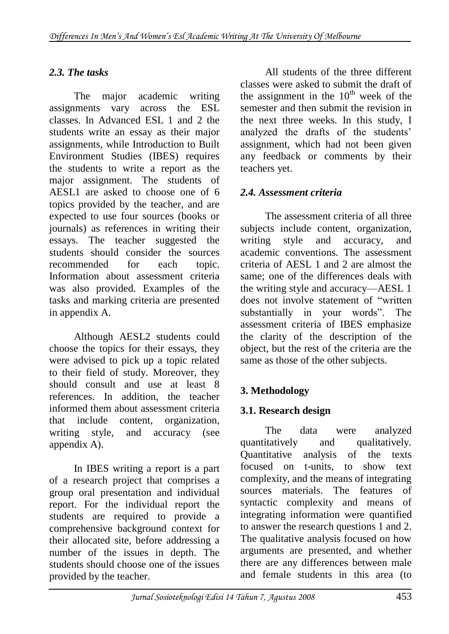# *2.3. The tasks*

The major academic writing assignments vary across the ESL classes. In Advanced ESL 1 and 2 the students write an essay as their major assignments, while Introduction to Built Environment Studies (IBES) requires the students to write a report as the major assignment. The students of AESL1 are asked to choose one of 6 topics provided by the teacher, and are expected to use four sources (books or journals) as references in writing their essays. The teacher suggested the students should consider the sources recommended for each topic. Information about assessment criteria was also provided. Examples of the tasks and marking criteria are presented in appendix A.

Although AESL2 students could choose the topics for their essays, they were advised to pick up a topic related to their field of study. Moreover, they should consult and use at least 8 references. In addition, the teacher informed them about assessment criteria that include content, organization, writing style, and accuracy (see appendix A).

In IBES writing a report is a part of a research project that comprises a group oral presentation and individual report. For the individual report the students are required to provide a comprehensive background context for their allocated site, before addressing a number of the issues in depth. The students should choose one of the issues provided by the teacher.

All students of the three different classes were asked to submit the draft of the assignment in the  $10^{th}$  week of the semester and then submit the revision in the next three weeks. In this study, I analyzed the drafts of the students' assignment, which had not been given any feedback or comments by their teachers yet.

## *2.4. Assessment criteria*

The assessment criteria of all three subjects include content, organization, writing style and accuracy, and academic conventions. The assessment criteria of AESL 1 and 2 are almost the same; one of the differences deals with the writing style and accuracy—AESL 1 does not involve statement of "written" substantially in your words". The assessment criteria of IBES emphasize the clarity of the description of the object, but the rest of the criteria are the same as those of the other subjects.

# **3. Methodology**

# **3.1. Research design**

The data were analyzed quantitatively and qualitatively. Quantitative analysis of the texts focused on t-units, to show text complexity, and the means of integrating sources materials. The features of syntactic complexity and means of integrating information were quantified to answer the research questions 1 and 2. The qualitative analysis focused on how arguments are presented, and whether there are any differences between male and female students in this area (to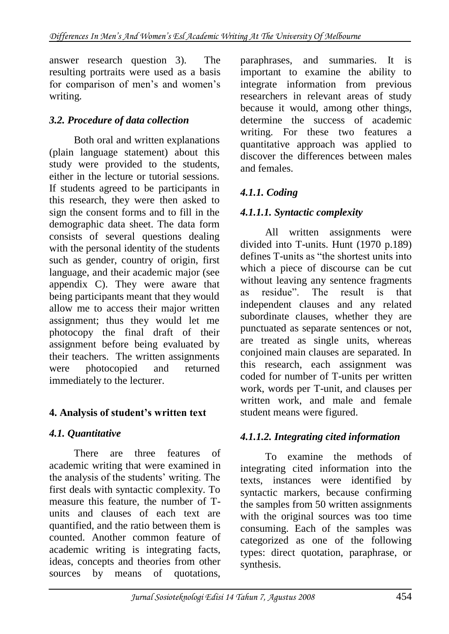answer research question 3). The resulting portraits were used as a basis for comparison of men's and women's writing.

## *3.2. Procedure of data collection*

Both oral and written explanations (plain language statement) about this study were provided to the students, either in the lecture or tutorial sessions. If students agreed to be participants in this research, they were then asked to sign the consent forms and to fill in the demographic data sheet. The data form consists of several questions dealing with the personal identity of the students such as gender, country of origin, first language, and their academic major (see appendix C). They were aware that being participants meant that they would allow me to access their major written assignment; thus they would let me photocopy the final draft of their assignment before being evaluated by their teachers. The written assignments were photocopied and returned immediately to the lecturer.

## **4. Analysis of student's written text**

# *4.1. Quantitative*

There are three features of academic writing that were examined in the analysis of the students' writing. The first deals with syntactic complexity. To measure this feature, the number of Tunits and clauses of each text are quantified, and the ratio between them is counted. Another common feature of academic writing is integrating facts, ideas, concepts and theories from other sources by means of quotations, paraphrases, and summaries. It is important to examine the ability to integrate information from previous researchers in relevant areas of study because it would, among other things, determine the success of academic writing. For these two features a quantitative approach was applied to discover the differences between males and females.

# *4.1.1. Coding*

## *4.1.1.1. Syntactic complexity*

All written assignments were divided into T-units. Hunt (1970 p.189) defines T-units as "the shortest units into which a piece of discourse can be cut without leaving any sentence fragments as residue". The result is that independent clauses and any related subordinate clauses, whether they are punctuated as separate sentences or not, are treated as single units, whereas conjoined main clauses are separated. In this research, each assignment was coded for number of T-units per written work, words per T-unit, and clauses per written work, and male and female student means were figured.

## *4.1.1.2. Integrating cited information*

To examine the methods of integrating cited information into the texts, instances were identified by syntactic markers, because confirming the samples from 50 written assignments with the original sources was too time consuming. Each of the samples was categorized as one of the following types: direct quotation, paraphrase, or synthesis.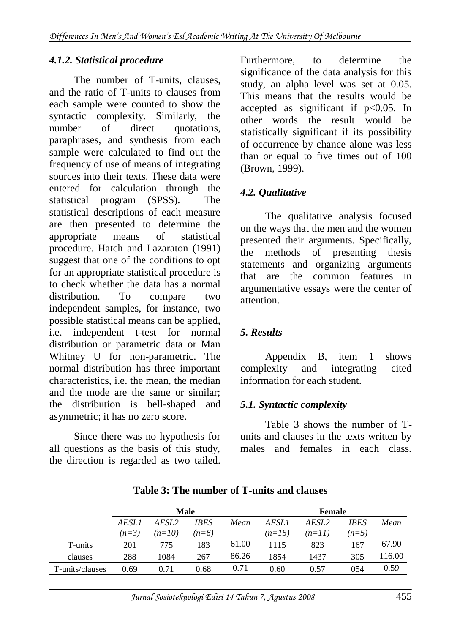### *4.1.2. Statistical procedure*

The number of T-units, clauses, and the ratio of T-units to clauses from each sample were counted to show the syntactic complexity. Similarly, the number of direct quotations, paraphrases, and synthesis from each sample were calculated to find out the frequency of use of means of integrating sources into their texts. These data were entered for calculation through the statistical program (SPSS). The statistical descriptions of each measure are then presented to determine the appropriate means of statistical procedure. Hatch and Lazaraton (1991) suggest that one of the conditions to opt for an appropriate statistical procedure is to check whether the data has a normal distribution. To compare two independent samples, for instance, two possible statistical means can be applied, i.e. independent t-test for normal distribution or parametric data or Man Whitney U for non-parametric. The normal distribution has three important characteristics, i.e. the mean, the median and the mode are the same or similar; the distribution is bell-shaped and asymmetric; it has no zero score.

Since there was no hypothesis for all questions as the basis of this study, the direction is regarded as two tailed. Furthermore, to determine the significance of the data analysis for this study, an alpha level was set at 0.05. This means that the results would be accepted as significant if  $p<0.05$ . In other words the result would be statistically significant if its possibility of occurrence by chance alone was less than or equal to five times out of 100 (Brown, 1999).

### *4.2. Qualitative*

The qualitative analysis focused on the ways that the men and the women presented their arguments. Specifically, the methods of presenting thesis statements and organizing arguments that are the common features in argumentative essays were the center of attention.

### *5. Results*

Appendix B, item 1 shows complexity and integrating cited information for each student.

### *5.1. Syntactic complexity*

Table 3 shows the number of Tunits and clauses in the texts written by males and females in each class.

|                 | <b>Male</b>  |          |         |       | <b>Female</b> |                   |         |        |
|-----------------|--------------|----------|---------|-------|---------------|-------------------|---------|--------|
|                 | <b>AESLI</b> | AESL2    | IBES    | Mean  | <b>AESL1</b>  | AESL <sub>2</sub> | IBES    | Mean   |
|                 | $(n=3)$      | $(n=10)$ | $(n=6)$ |       | $(n=15)$      | $(n=11)$          | $(n=5)$ |        |
| T-units         | 201          | 775      | 183     | 61.00 | 1115          | 823               | 167     | 67.90  |
| clauses         | 288          | 1084     | 267     | 86.26 | 1854          | 1437              | 305     | 116.00 |
| T-units/clauses | 0.69         | 0.71     | 0.68    | 0.71  | 0.60          | 0.57              | 054     | 0.59   |

**Table 3: The number of T-units and clauses**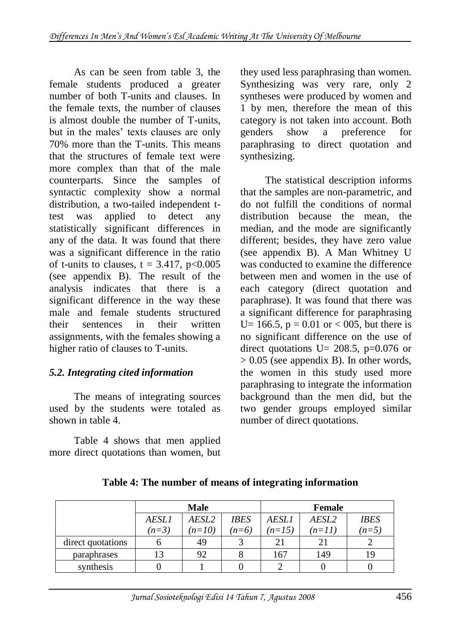As can be seen from table 3, the female students produced a greater number of both T-units and clauses. In the female texts, the number of clauses is almost double the number of T-units, but in the males' texts clauses are only 70% more than the T-units. This means that the structures of female text were more complex than that of the male counterparts. Since the samples of syntactic complexity show a normal distribution, a two-tailed independent ttest was applied to detect any statistically significant differences in any of the data. It was found that there was a significant difference in the ratio of t-units to clauses,  $t = 3.417$ ,  $p < 0.005$ (see appendix B). The result of the analysis indicates that there is a significant difference in the way these male and female students structured their sentences in their written assignments, with the females showing a higher ratio of clauses to T-units.

## *5.2. Integrating cited information*

The means of integrating sources used by the students were totaled as shown in table 4.

Table 4 shows that men applied more direct quotations than women, but

they used less paraphrasing than women. Synthesizing was very rare, only 2 syntheses were produced by women and 1 by men, therefore the mean of this category is not taken into account. Both genders show a preference for paraphrasing to direct quotation and synthesizing.

The statistical description informs that the samples are non-parametric, and do not fulfill the conditions of normal distribution because the mean, the median, and the mode are significantly different; besides, they have zero value (see appendix B). A Man Whitney U was conducted to examine the difference between men and women in the use of each category (direct quotation and paraphrase). It was found that there was a significant difference for paraphrasing U = 166.5,  $p = 0.01$  or < 005, but there is no significant difference on the use of direct quotations U=  $208.5$ , p=0.076 or  $> 0.05$  (see appendix B). In other words, the women in this study used more paraphrasing to integrate the information background than the men did, but the two gender groups employed similar number of direct quotations.

|                   | <b>Male</b>  |          |             | <b>Female</b> |          |             |
|-------------------|--------------|----------|-------------|---------------|----------|-------------|
|                   | <i>AESL1</i> | AESL2    | <b>IBES</b> | <i>AESLI</i>  | AESL2    | <b>IBES</b> |
|                   | $(n=3)$      | $(n=10)$ | $(n=6)$     | $(n=15)$      | $(n=11)$ | $(n=5)$     |
| direct quotations |              | 49       |             |               |          |             |
| paraphrases       | 13           | 92       |             | 167           | 149      |             |
| synthesis         |              |          |             |               |          |             |

### **Table 4: The number of means of integrating information**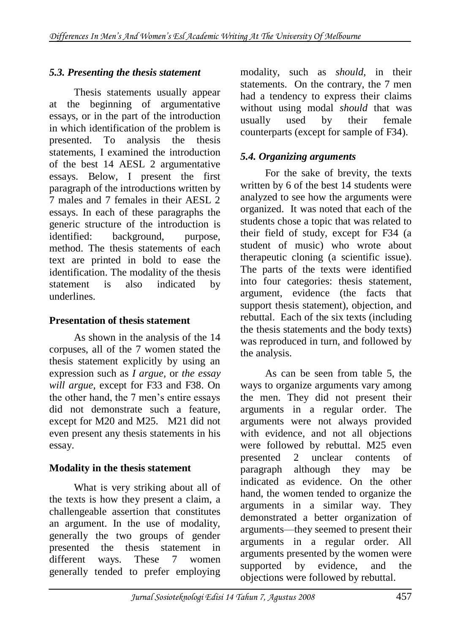## *5.3. Presenting the thesis statement*

Thesis statements usually appear at the beginning of argumentative essays, or in the part of the introduction in which identification of the problem is presented. To analysis the thesis statements, I examined the introduction of the best 14 AESL 2 argumentative essays. Below, I present the first paragraph of the introductions written by 7 males and 7 females in their AESL 2 essays. In each of these paragraphs the generic structure of the introduction is identified: background, purpose, method. The thesis statements of each text are printed in bold to ease the identification. The modality of the thesis statement is also indicated by underlines.

## **Presentation of thesis statement**

As shown in the analysis of the 14 corpuses, all of the 7 women stated the thesis statement explicitly by using an expression such as *I argue,* or *the essay will argue,* except for F33 and F38. On the other hand, the 7 men's entire essays did not demonstrate such a feature, except for M20 and M25. M21 did not even present any thesis statements in his essay.

## **Modality in the thesis statement**

What is very striking about all of the texts is how they present a claim, a challengeable assertion that constitutes an argument. In the use of modality, generally the two groups of gender presented the thesis statement in different ways. These 7 women generally tended to prefer employing modality, such as *should,* in their statements. On the contrary, the 7 men had a tendency to express their claims without using modal *should* that was usually used by their female counterparts (except for sample of F34).

## *5.4. Organizing arguments*

For the sake of brevity, the texts written by 6 of the best 14 students were analyzed to see how the arguments were organized. It was noted that each of the students chose a topic that was related to their field of study, except for F34 (a student of music) who wrote about therapeutic cloning (a scientific issue). The parts of the texts were identified into four categories: thesis statement, argument, evidence (the facts that support thesis statement), objection, and rebuttal. Each of the six texts (including the thesis statements and the body texts) was reproduced in turn, and followed by the analysis.

As can be seen from table 5, the ways to organize arguments vary among the men. They did not present their arguments in a regular order. The arguments were not always provided with evidence, and not all objections were followed by rebuttal. M25 even presented 2 unclear contents of paragraph although they may be indicated as evidence. On the other hand, the women tended to organize the arguments in a similar way. They demonstrated a better organization of arguments—they seemed to present their arguments in a regular order. All arguments presented by the women were supported by evidence, and the objections were followed by rebuttal.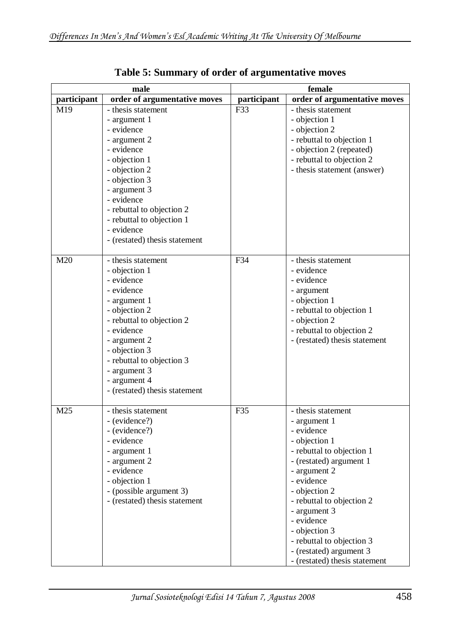| $_{\bf male}$   |                                                                                                                                                                                                                                                                            | female      |                                                                                                                                                                                                                                                                                                                                               |  |
|-----------------|----------------------------------------------------------------------------------------------------------------------------------------------------------------------------------------------------------------------------------------------------------------------------|-------------|-----------------------------------------------------------------------------------------------------------------------------------------------------------------------------------------------------------------------------------------------------------------------------------------------------------------------------------------------|--|
| participant     | order of argumentative moves                                                                                                                                                                                                                                               | participant | order of argumentative moves                                                                                                                                                                                                                                                                                                                  |  |
| M19             | - thesis statement<br>- argument 1<br>- evidence<br>- argument 2<br>- evidence<br>- objection 1<br>- objection 2<br>- objection 3<br>- argument 3<br>- evidence<br>- rebuttal to objection 2<br>- rebuttal to objection 1<br>- evidence<br>- (restated) thesis statement   | F33         | - thesis statement<br>- objection 1<br>- objection 2<br>- rebuttal to objection 1<br>- objection 2 (repeated)<br>- rebuttal to objection 2<br>- thesis statement (answer)                                                                                                                                                                     |  |
| M20             | - thesis statement<br>- objection 1<br>- evidence<br>- evidence<br>- argument 1<br>- objection 2<br>- rebuttal to objection 2<br>- evidence<br>- argument 2<br>- objection 3<br>- rebuttal to objection 3<br>- argument 3<br>- argument 4<br>- (restated) thesis statement | F34         | - thesis statement<br>- evidence<br>- evidence<br>- argument<br>- objection 1<br>- rebuttal to objection 1<br>- objection 2<br>- rebuttal to objection 2<br>- (restated) thesis statement                                                                                                                                                     |  |
| M <sub>25</sub> | - thesis statement<br>- (evidence?)<br>- (evidence?)<br>- evidence<br>- argument 1<br>- argument 2<br>- evidence<br>- objection 1<br>- (possible argument 3)<br>- (restated) thesis statement                                                                              | F35         | - thesis statement<br>- argument 1<br>- evidence<br>- objection 1<br>- rebuttal to objection 1<br>- (restated) argument 1<br>- argument 2<br>- evidence<br>- objection 2<br>- rebuttal to objection 2<br>- argument 3<br>- evidence<br>- objection 3<br>- rebuttal to objection 3<br>- (restated) argument 3<br>- (restated) thesis statement |  |

**Table 5: Summary of order of argumentative moves**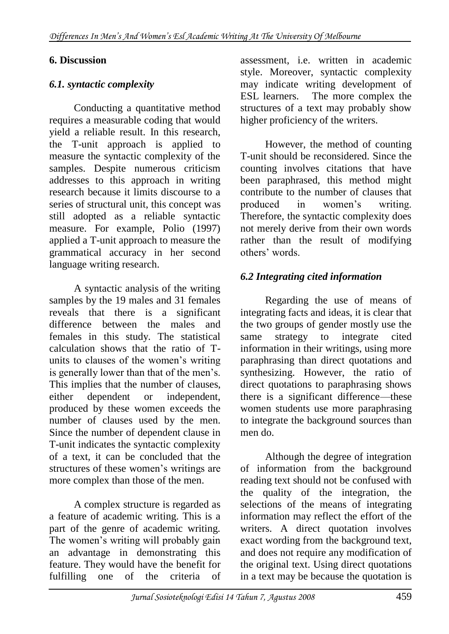### **6. Discussion**

## *6.1. syntactic complexity*

Conducting a quantitative method requires a measurable coding that would yield a reliable result. In this research, the T-unit approach is applied to measure the syntactic complexity of the samples. Despite numerous criticism addresses to this approach in writing research because it limits discourse to a series of structural unit, this concept was still adopted as a reliable syntactic measure. For example, Polio (1997) applied a T-unit approach to measure the grammatical accuracy in her second language writing research.

A syntactic analysis of the writing samples by the 19 males and 31 females reveals that there is a significant difference between the males and females in this study. The statistical calculation shows that the ratio of Tunits to clauses of the women's writing is generally lower than that of the men's. This implies that the number of clauses, either dependent or independent, produced by these women exceeds the number of clauses used by the men. Since the number of dependent clause in T-unit indicates the syntactic complexity of a text, it can be concluded that the structures of these women's writings are more complex than those of the men.

A complex structure is regarded as a feature of academic writing. This is a part of the genre of academic writing. The women's writing will probably gain an advantage in demonstrating this feature. They would have the benefit for fulfilling one of the criteria of

assessment, i.e. written in academic style. Moreover, syntactic complexity may indicate writing development of ESL learners. The more complex the structures of a text may probably show higher proficiency of the writers.

However, the method of counting T-unit should be reconsidered. Since the counting involves citations that have been paraphrased, this method might contribute to the number of clauses that produced in women's writing. Therefore, the syntactic complexity does not merely derive from their own words rather than the result of modifying others' words.

## *6.2 Integrating cited information*

Regarding the use of means of integrating facts and ideas, it is clear that the two groups of gender mostly use the same strategy to integrate cited information in their writings, using more paraphrasing than direct quotations and synthesizing. However, the ratio of direct quotations to paraphrasing shows there is a significant difference—these women students use more paraphrasing to integrate the background sources than men do.

Although the degree of integration of information from the background reading text should not be confused with the quality of the integration, the selections of the means of integrating information may reflect the effort of the writers. A direct quotation involves exact wording from the background text, and does not require any modification of the original text. Using direct quotations in a text may be because the quotation is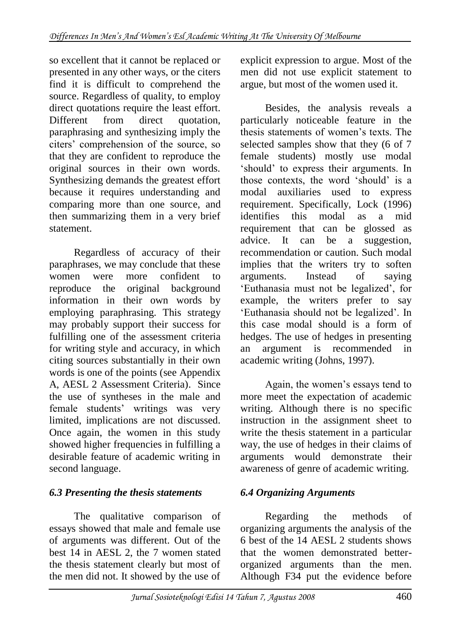so excellent that it cannot be replaced or presented in any other ways, or the citers find it is difficult to comprehend the source. Regardless of quality, to employ direct quotations require the least effort. Different from direct quotation, paraphrasing and synthesizing imply the citers' comprehension of the source, so that they are confident to reproduce the original sources in their own words. Synthesizing demands the greatest effort because it requires understanding and comparing more than one source, and then summarizing them in a very brief statement.

Regardless of accuracy of their paraphrases, we may conclude that these women were more confident to reproduce the original background information in their own words by employing paraphrasing. This strategy may probably support their success for fulfilling one of the assessment criteria for writing style and accuracy, in which citing sources substantially in their own words is one of the points (see Appendix A, AESL 2 Assessment Criteria). Since the use of syntheses in the male and female students' writings was very limited, implications are not discussed. Once again, the women in this study showed higher frequencies in fulfilling a desirable feature of academic writing in second language.

# *6.3 Presenting the thesis statements*

The qualitative comparison of essays showed that male and female use of arguments was different. Out of the best 14 in AESL 2, the 7 women stated the thesis statement clearly but most of the men did not. It showed by the use of

explicit expression to argue. Most of the men did not use explicit statement to argue, but most of the women used it.

Besides, the analysis reveals a particularly noticeable feature in the thesis statements of women's texts. The selected samples show that they (6 of 7 female students) mostly use modal 'should' to express their arguments. In those contexts, the word 'should' is a modal auxiliaries used to express requirement. Specifically, Lock (1996) identifies this modal as a mid requirement that can be glossed as advice. It can be a suggestion, recommendation or caution. Such modal implies that the writers try to soften arguments. Instead of saying ‗Euthanasia must not be legalized', for example, the writers prefer to say ‗Euthanasia should not be legalized'. In this case modal should is a form of hedges. The use of hedges in presenting an argument is recommended in academic writing (Johns, 1997).

Again, the women's essays tend to more meet the expectation of academic writing. Although there is no specific instruction in the assignment sheet to write the thesis statement in a particular way, the use of hedges in their claims of arguments would demonstrate their awareness of genre of academic writing.

# *6.4 Organizing Arguments*

Regarding the methods of organizing arguments the analysis of the 6 best of the 14 AESL 2 students shows that the women demonstrated betterorganized arguments than the men. Although F34 put the evidence before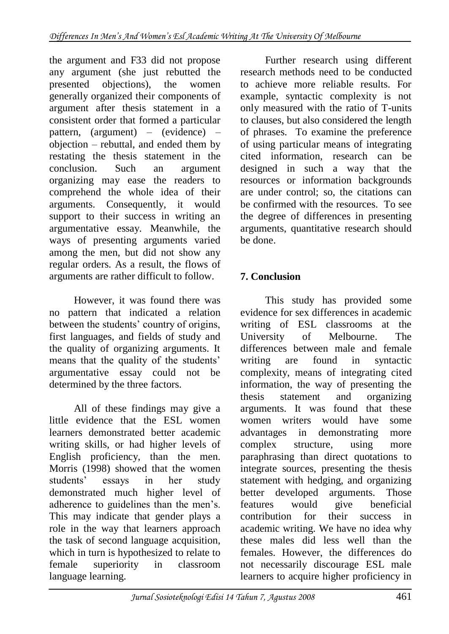the argument and F33 did not propose any argument (she just rebutted the presented objections), the women generally organized their components of argument after thesis statement in a consistent order that formed a particular pattern, (argument) – (evidence) – objection – rebuttal, and ended them by restating the thesis statement in the conclusion. Such an argument organizing may ease the readers to comprehend the whole idea of their arguments. Consequently, it would support to their success in writing an argumentative essay. Meanwhile, the ways of presenting arguments varied among the men, but did not show any regular orders. As a result, the flows of arguments are rather difficult to follow.

However, it was found there was no pattern that indicated a relation between the students' country of origins, first languages, and fields of study and the quality of organizing arguments. It means that the quality of the students' argumentative essay could not be determined by the three factors.

All of these findings may give a little evidence that the ESL women learners demonstrated better academic writing skills, or had higher levels of English proficiency, than the men. Morris (1998) showed that the women students' essays in her study demonstrated much higher level of adherence to guidelines than the men's. This may indicate that gender plays a role in the way that learners approach the task of second language acquisition, which in turn is hypothesized to relate to female superiority in classroom language learning.

Further research using different research methods need to be conducted to achieve more reliable results. For example, syntactic complexity is not only measured with the ratio of T-units to clauses, but also considered the length of phrases. To examine the preference of using particular means of integrating cited information, research can be designed in such a way that the resources or information backgrounds are under control; so, the citations can be confirmed with the resources. To see the degree of differences in presenting arguments, quantitative research should be done.

# **7. Conclusion**

This study has provided some evidence for sex differences in academic writing of ESL classrooms at the University of Melbourne. The differences between male and female writing are found in syntactic complexity, means of integrating cited information, the way of presenting the thesis statement and organizing arguments. It was found that these women writers would have some advantages in demonstrating more complex structure, using more paraphrasing than direct quotations to integrate sources, presenting the thesis statement with hedging, and organizing better developed arguments. Those features would give beneficial contribution for their success in academic writing. We have no idea why these males did less well than the females. However, the differences do not necessarily discourage ESL male learners to acquire higher proficiency in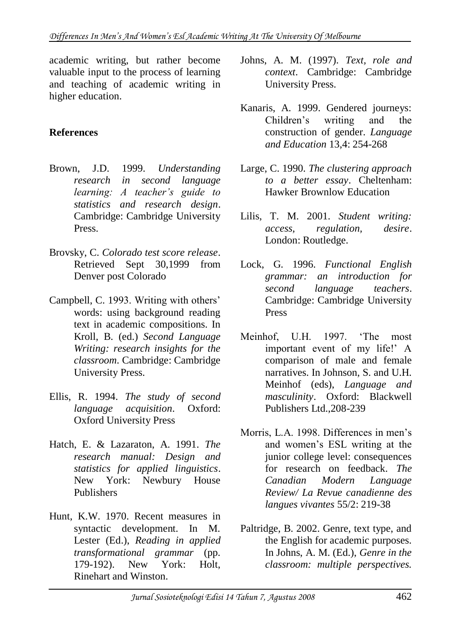academic writing, but rather become valuable input to the process of learning and teaching of academic writing in higher education.

### **References**

- Brown, J.D. 1999. *Understanding research in second language learning: A teacher's guide to statistics and research design*. Cambridge: Cambridge University Press.
- Brovsky, C. *Colorado test score release*. Retrieved Sept 30,1999 from Denver post Colorado
- Campbell, C. 1993. Writing with others' words: using background reading text in academic compositions. In Kroll, B. (ed.) *Second Language Writing: research insights for the classroom*. Cambridge: Cambridge University Press.
- Ellis, R. 1994. *The study of second language acquisition*. Oxford: Oxford University Press
- Hatch, E. & Lazaraton, A. 1991. *The research manual: Design and statistics for applied linguistics*. New York: Newbury House Publishers
- Hunt, K.W. 1970. Recent measures in syntactic development. In M. Lester (Ed.), *Reading in applied transformational grammar* (pp. 179-192). New York: Holt, Rinehart and Winston.
- Johns, A. M. (1997). *Text, role and context*. Cambridge: Cambridge University Press.
- Kanaris, A. 1999. Gendered journeys: Children's writing and the construction of gender. *Language and Education* 13,4: 254-268
- Large, C. 1990. *The clustering approach to a better essay*. Cheltenham: Hawker Brownlow Education
- Lilis, T. M. 2001. *Student writing: access, regulation, desire*. London: Routledge.
- Lock, G. 1996. *Functional English grammar: an introduction for second language teachers*. Cambridge: Cambridge University Press
- Meinhof, U.H. 1997. The most important event of my life!' A comparison of male and female narratives. In Johnson, S. and U.H. Meinhof (eds), *Language and masculinity*. Oxford: Blackwell Publishers Ltd.,208-239
- Morris, L.A. 1998. Differences in men's and women's ESL writing at the junior college level: consequences for research on feedback. *The Canadian Modern Language Review/ La Revue canadienne des langues vivantes* 55/2: 219-38
- Paltridge, B. 2002. Genre, text type, and the English for academic purposes. In Johns, A. M. (Ed.), *Genre in the classroom: multiple perspectives.*